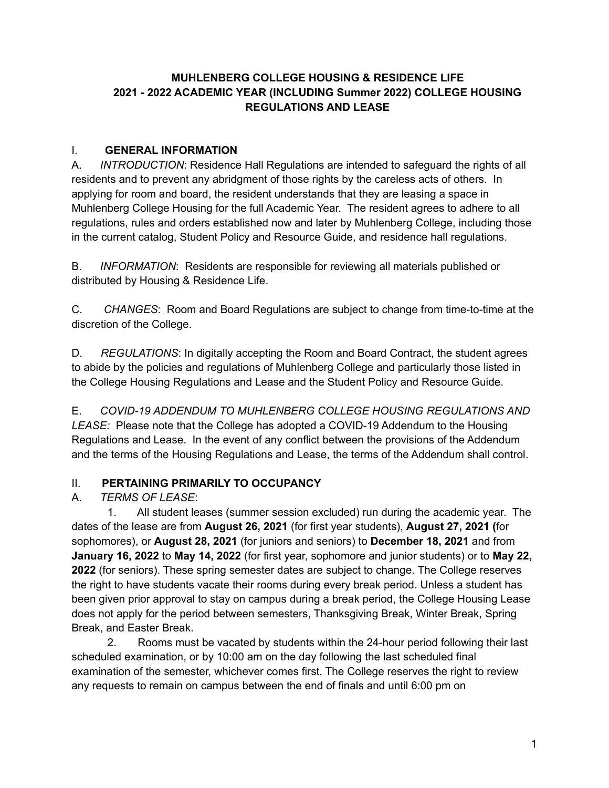### **MUHLENBERG COLLEGE HOUSING & RESIDENCE LIFE 2021 - 2022 ACADEMIC YEAR (INCLUDING Summer 2022) COLLEGE HOUSING REGULATIONS AND LEASE**

#### I. **GENERAL INFORMATION**

A. *INTRODUCTION*: Residence Hall Regulations are intended to safeguard the rights of all residents and to prevent any abridgment of those rights by the careless acts of others. In applying for room and board, the resident understands that they are leasing a space in Muhlenberg College Housing for the full Academic Year. The resident agrees to adhere to all regulations, rules and orders established now and later by Muhlenberg College, including those in the current catalog, Student Policy and Resource Guide, and residence hall regulations.

B. *INFORMATION*: Residents are responsible for reviewing all materials published or distributed by Housing & Residence Life.

C. *CHANGES*: Room and Board Regulations are subject to change from time-to-time at the discretion of the College.

D. *REGULATIONS*: In digitally accepting the Room and Board Contract, the student agrees to abide by the policies and regulations of Muhlenberg College and particularly those listed in the College Housing Regulations and Lease and the Student Policy and Resource Guide.

E. *COVID-19 ADDENDUM TO MUHLENBERG COLLEGE HOUSING REGULATIONS AND LEASE:* Please note that the College has adopted a COVID-19 Addendum to the Housing Regulations and Lease. In the event of any conflict between the provisions of the Addendum and the terms of the Housing Regulations and Lease, the terms of the Addendum shall control.

### II. **PERTAINING PRIMARILY TO OCCUPANCY**

### A. *TERMS OF LEASE*:

1. All student leases (summer session excluded) run during the academic year. The dates of the lease are from **August 26, 2021** (for first year students), **August 27, 2021 (**for sophomores), or **August 28, 2021** (for juniors and seniors) to **December 18, 2021** and from **January 16, 2022** to **May 14, 2022** (for first year, sophomore and junior students) or to **May 22, 2022** (for seniors). These spring semester dates are subject to change. The College reserves the right to have students vacate their rooms during every break period. Unless a student has been given prior approval to stay on campus during a break period, the College Housing Lease does not apply for the period between semesters, Thanksgiving Break, Winter Break, Spring Break, and Easter Break.

2. Rooms must be vacated by students within the 24-hour period following their last scheduled examination, or by 10:00 am on the day following the last scheduled final examination of the semester, whichever comes first. The College reserves the right to review any requests to remain on campus between the end of finals and until 6:00 pm on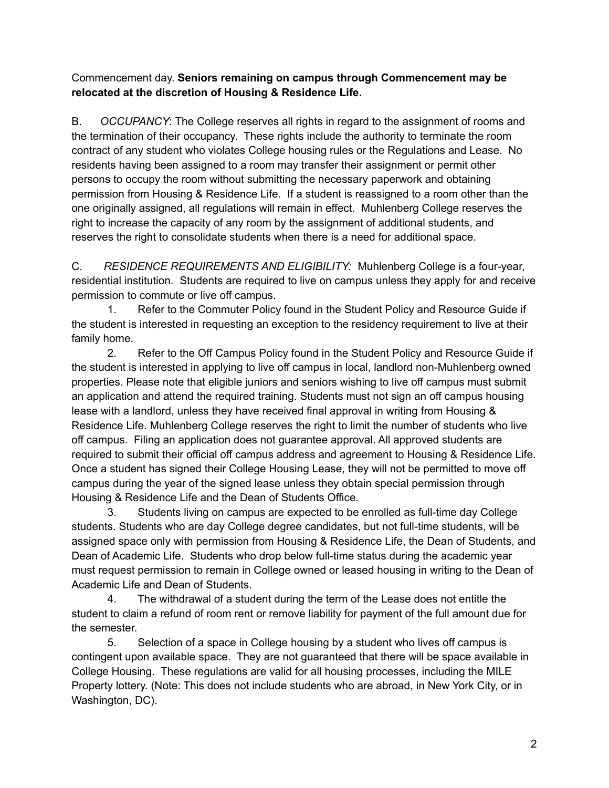Commencement day. **Seniors remaining on campus through Commencement may be relocated at the discretion of Housing & Residence Life.**

B. *OCCUPANCY*: The College reserves all rights in regard to the assignment of rooms and the termination of their occupancy. These rights include the authority to terminate the room contract of any student who violates College housing rules or the Regulations and Lease. No residents having been assigned to a room may transfer their assignment or permit other persons to occupy the room without submitting the necessary paperwork and obtaining permission from Housing & Residence Life. If a student is reassigned to a room other than the one originally assigned, all regulations will remain in effect. Muhlenberg College reserves the right to increase the capacity of any room by the assignment of additional students, and reserves the right to consolidate students when there is a need for additional space.

C. *RESIDENCE REQUIREMENTS AND ELIGIBILITY:* Muhlenberg College is a four-year, residential institution. Students are required to live on campus unless they apply for and receive permission to commute or live off campus.

1. Refer to the Commuter Policy found in the Student Policy and Resource Guide if the student is interested in requesting an exception to the residency requirement to live at their family home.

2. Refer to the Off Campus Policy found in the Student Policy and Resource Guide if the student is interested in applying to live off campus in local, landlord non-Muhlenberg owned properties. Please note that eligible juniors and seniors wishing to live off campus must submit an application and attend the required training. Students must not sign an off campus housing lease with a landlord, unless they have received final approval in writing from Housing & Residence Life. Muhlenberg College reserves the right to limit the number of students who live off campus. Filing an application does not guarantee approval. All approved students are required to submit their official off campus address and agreement to Housing & Residence Life. Once a student has signed their College Housing Lease, they will not be permitted to move off campus during the year of the signed lease unless they obtain special permission through Housing & Residence Life and the Dean of Students Office.

3. Students living on campus are expected to be enrolled as full-time day College students. Students who are day College degree candidates, but not full-time students, will be assigned space only with permission from Housing & Residence Life, the Dean of Students, and Dean of Academic Life. Students who drop below full-time status during the academic year must request permission to remain in College owned or leased housing in writing to the Dean of Academic Life and Dean of Students.

4. The withdrawal of a student during the term of the Lease does not entitle the student to claim a refund of room rent or remove liability for payment of the full amount due for the semester.

5. Selection of a space in College housing by a student who lives off campus is contingent upon available space. They are not guaranteed that there will be space available in College Housing. These regulations are valid for all housing processes, including the MILE Property lottery. (Note: This does not include students who are abroad, in New York City, or in Washington, DC).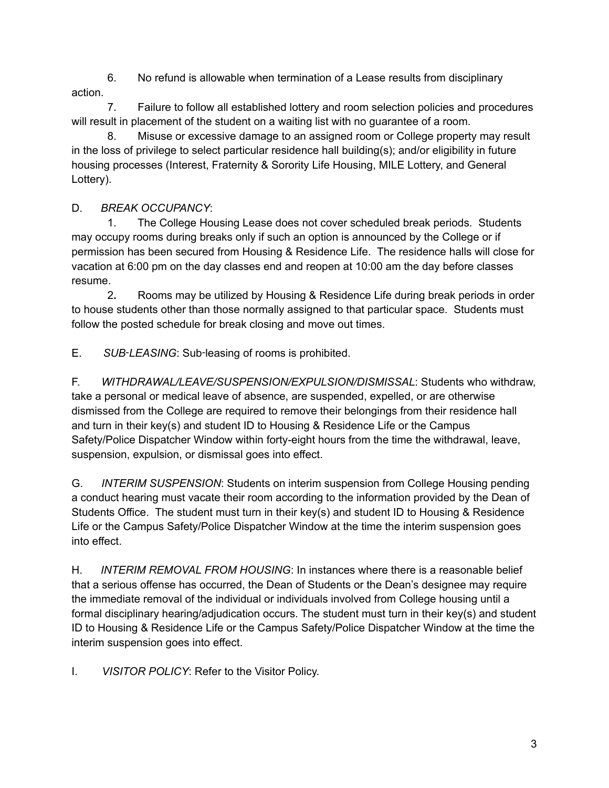6. No refund is allowable when termination of a Lease results from disciplinary action.

7. Failure to follow all established lottery and room selection policies and procedures will result in placement of the student on a waiting list with no guarantee of a room.

8. Misuse or excessive damage to an assigned room or College property may result in the loss of privilege to select particular residence hall building(s); and/or eligibility in future housing processes (Interest, Fraternity & Sorority Life Housing, MILE Lottery, and General Lottery).

## D. *BREAK OCCUPANCY*:

1. The College Housing Lease does not cover scheduled break periods. Students may occupy rooms during breaks only if such an option is announced by the College or if permission has been secured from Housing & Residence Life. The residence halls will close for vacation at 6:00 pm on the day classes end and reopen at 10:00 am the day before classes resume.

2**.** Rooms may be utilized by Housing & Residence Life during break periods in order to house students other than those normally assigned to that particular space. Students must follow the posted schedule for break closing and move out times.

E. *SUB*‑*LEASING*: Sub‑leasing of rooms is prohibited.

F. *WITHDRAWAL/LEAVE/SUSPENSION/EXPULSION/DISMISSAL*: Students who withdraw, take a personal or medical leave of absence, are suspended, expelled, or are otherwise dismissed from the College are required to remove their belongings from their residence hall and turn in their key(s) and student ID to Housing & Residence Life or the Campus Safety/Police Dispatcher Window within forty-eight hours from the time the withdrawal, leave, suspension, expulsion, or dismissal goes into effect.

G. *INTERIM SUSPENSION*: Students on interim suspension from College Housing pending a conduct hearing must vacate their room according to the information provided by the Dean of Students Office. The student must turn in their key(s) and student ID to Housing & Residence Life or the Campus Safety/Police Dispatcher Window at the time the interim suspension goes into effect.

H. *INTERIM REMOVAL FROM HOUSING*: In instances where there is a reasonable belief that a serious offense has occurred, the Dean of Students or the Dean's designee may require the immediate removal of the individual or individuals involved from College housing until a formal disciplinary hearing/adjudication occurs. The student must turn in their key(s) and student ID to Housing & Residence Life or the Campus Safety/Police Dispatcher Window at the time the interim suspension goes into effect.

I. *VISITOR POLICY*: Refer to the Visitor Policy.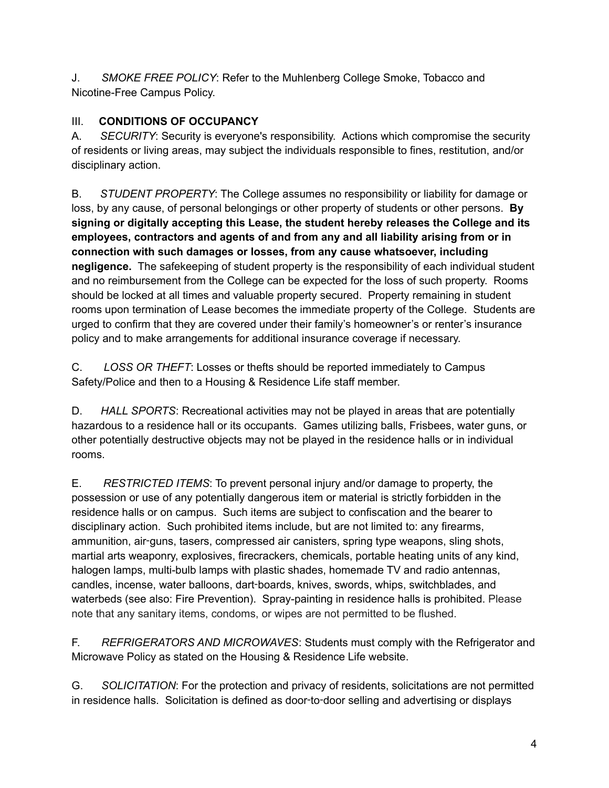J. *SMOKE FREE POLICY*: Refer to the Muhlenberg College Smoke, Tobacco and Nicotine-Free Campus Policy.

### III. **CONDITIONS OF OCCUPANCY**

A. *SECURITY*: Security is everyone's responsibility. Actions which compromise the security of residents or living areas, may subject the individuals responsible to fines, restitution, and/or disciplinary action.

B. *STUDENT PROPERTY*: The College assumes no responsibility or liability for damage or loss, by any cause, of personal belongings or other property of students or other persons. **By signing or digitally accepting this Lease, the student hereby releases the College and its employees, contractors and agents of and from any and all liability arising from or in connection with such damages or losses, from any cause whatsoever, including negligence.** The safekeeping of student property is the responsibility of each individual student and no reimbursement from the College can be expected for the loss of such property. Rooms should be locked at all times and valuable property secured. Property remaining in student rooms upon termination of Lease becomes the immediate property of the College. Students are urged to confirm that they are covered under their family's homeowner's or renter's insurance policy and to make arrangements for additional insurance coverage if necessary.

C. *LOSS OR THEFT*: Losses or thefts should be reported immediately to Campus Safety/Police and then to a Housing & Residence Life staff member.

D. *HALL SPORTS*: Recreational activities may not be played in areas that are potentially hazardous to a residence hall or its occupants. Games utilizing balls, Frisbees, water guns, or other potentially destructive objects may not be played in the residence halls or in individual rooms.

E. *RESTRICTED ITEMS*: To prevent personal injury and/or damage to property, the possession or use of any potentially dangerous item or material is strictly forbidden in the residence halls or on campus. Such items are subject to confiscation and the bearer to disciplinary action. Such prohibited items include, but are not limited to: any firearms, ammunition, air‑guns, tasers, compressed air canisters, spring type weapons, sling shots, martial arts weaponry, explosives, firecrackers, chemicals, portable heating units of any kind, halogen lamps, multi-bulb lamps with plastic shades, homemade TV and radio antennas, candles, incense, water balloons, dart‑boards, knives, swords, whips, switchblades, and waterbeds (see also: Fire Prevention). Spray-painting in residence halls is prohibited. Please note that any sanitary items, condoms, or wipes are not permitted to be flushed.

F. *REFRIGERATORS AND MICROWAVES*: Students must comply with the Refrigerator and Microwave Policy as stated on the Housing & Residence Life website.

G. *SOLICITATION*: For the protection and privacy of residents, solicitations are not permitted in residence halls. Solicitation is defined as door-to-door selling and advertising or displays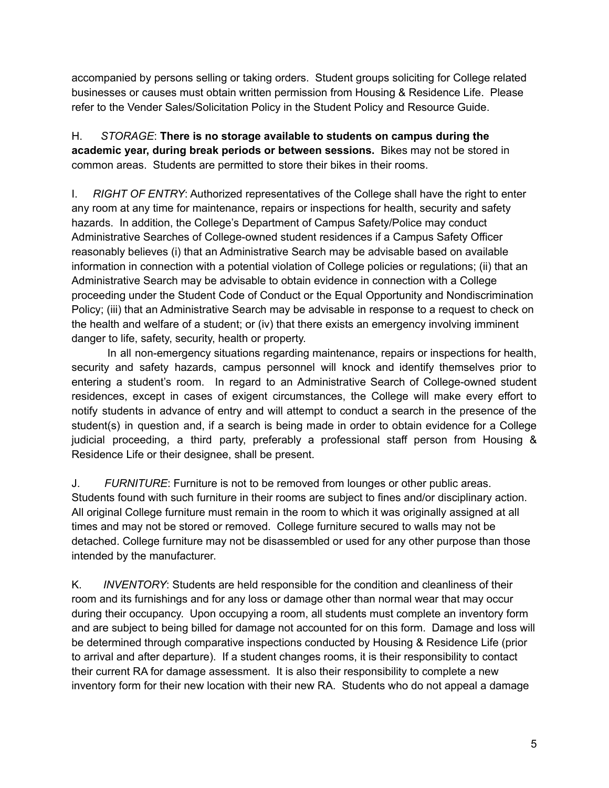accompanied by persons selling or taking orders. Student groups soliciting for College related businesses or causes must obtain written permission from Housing & Residence Life. Please refer to the Vender Sales/Solicitation Policy in the Student Policy and Resource Guide.

H. *STORAGE*: **There is no storage available to students on campus during the academic year, during break periods or between sessions.** Bikes may not be stored in common areas. Students are permitted to store their bikes in their rooms.

I. *RIGHT OF ENTRY*: Authorized representatives of the College shall have the right to enter any room at any time for maintenance, repairs or inspections for health, security and safety hazards. In addition, the College's Department of Campus Safety/Police may conduct Administrative Searches of College-owned student residences if a Campus Safety Officer reasonably believes (i) that an Administrative Search may be advisable based on available information in connection with a potential violation of College policies or regulations; (ii) that an Administrative Search may be advisable to obtain evidence in connection with a College proceeding under the Student Code of Conduct or the Equal Opportunity and Nondiscrimination Policy; (iii) that an Administrative Search may be advisable in response to a request to check on the health and welfare of a student; or (iv) that there exists an emergency involving imminent danger to life, safety, security, health or property.

In all non-emergency situations regarding maintenance, repairs or inspections for health, security and safety hazards, campus personnel will knock and identify themselves prior to entering a student's room. In regard to an Administrative Search of College-owned student residences, except in cases of exigent circumstances, the College will make every effort to notify students in advance of entry and will attempt to conduct a search in the presence of the student(s) in question and, if a search is being made in order to obtain evidence for a College judicial proceeding, a third party, preferably a professional staff person from Housing & Residence Life or their designee, shall be present.

J. *FURNITURE*: Furniture is not to be removed from lounges or other public areas. Students found with such furniture in their rooms are subject to fines and/or disciplinary action. All original College furniture must remain in the room to which it was originally assigned at all times and may not be stored or removed. College furniture secured to walls may not be detached. College furniture may not be disassembled or used for any other purpose than those intended by the manufacturer.

K. *INVENTORY*: Students are held responsible for the condition and cleanliness of their room and its furnishings and for any loss or damage other than normal wear that may occur during their occupancy. Upon occupying a room, all students must complete an inventory form and are subject to being billed for damage not accounted for on this form. Damage and loss will be determined through comparative inspections conducted by Housing & Residence Life (prior to arrival and after departure). If a student changes rooms, it is their responsibility to contact their current RA for damage assessment. It is also their responsibility to complete a new inventory form for their new location with their new RA. Students who do not appeal a damage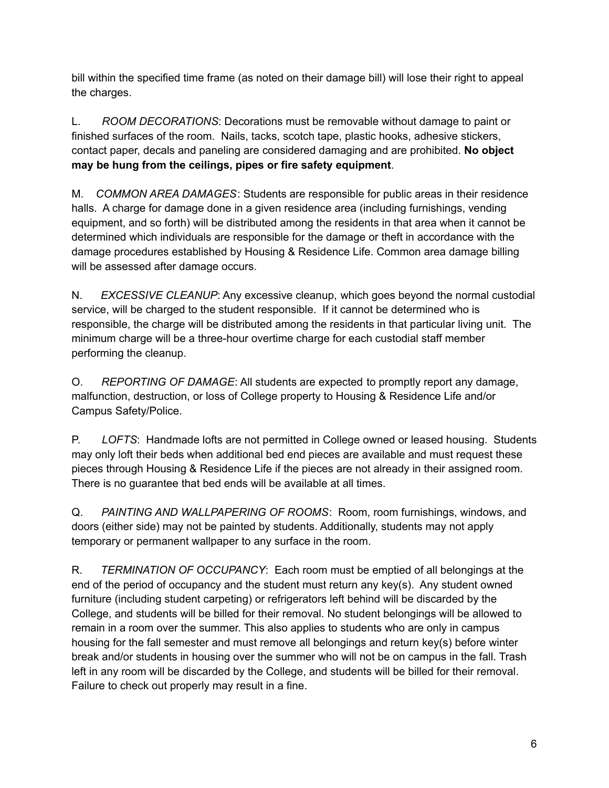bill within the specified time frame (as noted on their damage bill) will lose their right to appeal the charges.

L. *ROOM DECORATIONS*: Decorations must be removable without damage to paint or finished surfaces of the room. Nails, tacks, scotch tape, plastic hooks, adhesive stickers, contact paper, decals and paneling are considered damaging and are prohibited. **No object may be hung from the ceilings, pipes or fire safety equipment**.

M. *COMMON AREA DAMAGES*: Students are responsible for public areas in their residence halls. A charge for damage done in a given residence area (including furnishings, vending equipment, and so forth) will be distributed among the residents in that area when it cannot be determined which individuals are responsible for the damage or theft in accordance with the damage procedures established by Housing & Residence Life. Common area damage billing will be assessed after damage occurs.

N. *EXCESSIVE CLEANUP*: Any excessive cleanup, which goes beyond the normal custodial service, will be charged to the student responsible. If it cannot be determined who is responsible, the charge will be distributed among the residents in that particular living unit. The minimum charge will be a three-hour overtime charge for each custodial staff member performing the cleanup.

O. *REPORTING OF DAMAGE*: All students are expected to promptly report any damage, malfunction, destruction, or loss of College property to Housing & Residence Life and/or Campus Safety/Police.

P. *LOFTS*: Handmade lofts are not permitted in College owned or leased housing. Students may only loft their beds when additional bed end pieces are available and must request these pieces through Housing & Residence Life if the pieces are not already in their assigned room. There is no guarantee that bed ends will be available at all times.

Q. *PAINTING AND WALLPAPERING OF ROOMS*: Room, room furnishings, windows, and doors (either side) may not be painted by students. Additionally, students may not apply temporary or permanent wallpaper to any surface in the room.

R. *TERMINATION OF OCCUPANCY*: Each room must be emptied of all belongings at the end of the period of occupancy and the student must return any key(s). Any student owned furniture (including student carpeting) or refrigerators left behind will be discarded by the College, and students will be billed for their removal. No student belongings will be allowed to remain in a room over the summer. This also applies to students who are only in campus housing for the fall semester and must remove all belongings and return key(s) before winter break and/or students in housing over the summer who will not be on campus in the fall. Trash left in any room will be discarded by the College, and students will be billed for their removal. Failure to check out properly may result in a fine.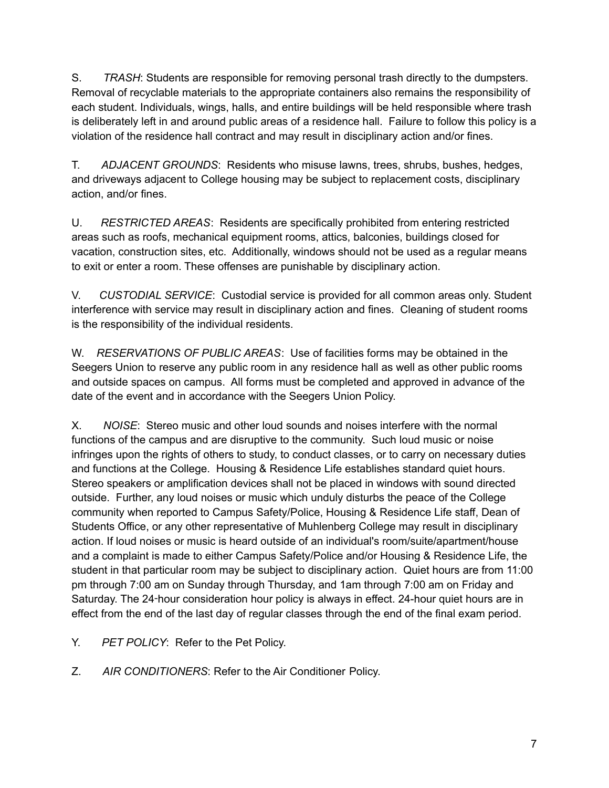S. *TRASH*: Students are responsible for removing personal trash directly to the dumpsters. Removal of recyclable materials to the appropriate containers also remains the responsibility of each student. Individuals, wings, halls, and entire buildings will be held responsible where trash is deliberately left in and around public areas of a residence hall. Failure to follow this policy is a violation of the residence hall contract and may result in disciplinary action and/or fines.

T. *ADJACENT GROUNDS*: Residents who misuse lawns, trees, shrubs, bushes, hedges, and driveways adjacent to College housing may be subject to replacement costs, disciplinary action, and/or fines.

U. *RESTRICTED AREAS*: Residents are specifically prohibited from entering restricted areas such as roofs, mechanical equipment rooms, attics, balconies, buildings closed for vacation, construction sites, etc. Additionally, windows should not be used as a regular means to exit or enter a room. These offenses are punishable by disciplinary action.

V. *CUSTODIAL SERVICE*: Custodial service is provided for all common areas only. Student interference with service may result in disciplinary action and fines. Cleaning of student rooms is the responsibility of the individual residents.

W. *RESERVATIONS OF PUBLIC AREAS*: Use of facilities forms may be obtained in the Seegers Union to reserve any public room in any residence hall as well as other public rooms and outside spaces on campus. All forms must be completed and approved in advance of the date of the event and in accordance with the Seegers Union Policy.

X. *NOISE*: Stereo music and other loud sounds and noises interfere with the normal functions of the campus and are disruptive to the community. Such loud music or noise infringes upon the rights of others to study, to conduct classes, or to carry on necessary duties and functions at the College. Housing & Residence Life establishes standard quiet hours. Stereo speakers or amplification devices shall not be placed in windows with sound directed outside. Further, any loud noises or music which unduly disturbs the peace of the College community when reported to Campus Safety/Police, Housing & Residence Life staff, Dean of Students Office, or any other representative of Muhlenberg College may result in disciplinary action. If loud noises or music is heard outside of an individual's room/suite/apartment/house and a complaint is made to either Campus Safety/Police and/or Housing & Residence Life, the student in that particular room may be subject to disciplinary action. Quiet hours are from 11:00 pm through 7:00 am on Sunday through Thursday, and 1am through 7:00 am on Friday and Saturday. The 24-hour consideration hour policy is always in effect. 24-hour quiet hours are in effect from the end of the last day of regular classes through the end of the final exam period.

- Y. *PET POLICY*: Refer to the Pet Policy.
- Z. *AIR CONDITIONERS*: Refer to the Air Conditioner Policy.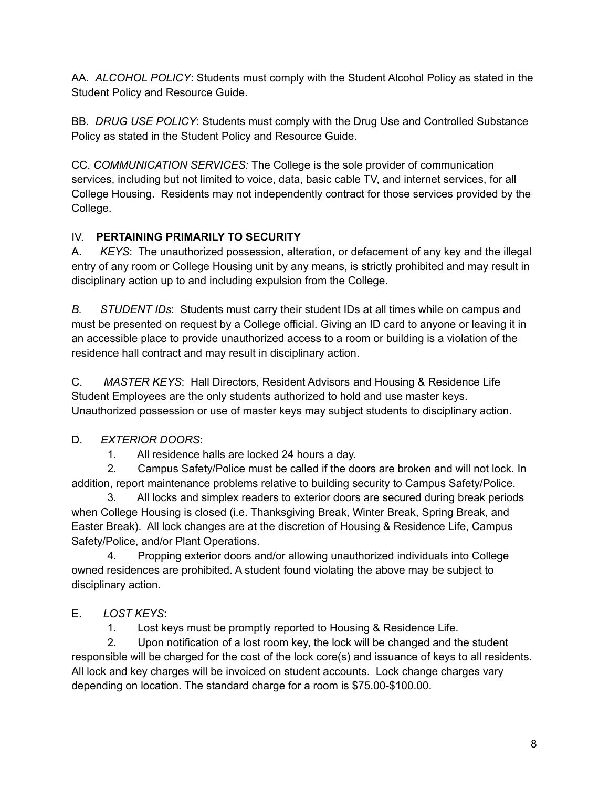AA. *ALCOHOL POLICY*: Students must comply with the Student Alcohol Policy as stated in the Student Policy and Resource Guide.

BB. *DRUG USE POLICY*: Students must comply with the Drug Use and Controlled Substance Policy as stated in the Student Policy and Resource Guide.

CC. *COMMUNICATION SERVICES:* The College is the sole provider of communication services, including but not limited to voice, data, basic cable TV, and internet services, for all College Housing. Residents may not independently contract for those services provided by the College.

### IV. **PERTAINING PRIMARILY TO SECURITY**

A. *KEYS*: The unauthorized possession, alteration, or defacement of any key and the illegal entry of any room or College Housing unit by any means, is strictly prohibited and may result in disciplinary action up to and including expulsion from the College.

*B. STUDENT IDs*: Students must carry their student IDs at all times while on campus and must be presented on request by a College official. Giving an ID card to anyone or leaving it in an accessible place to provide unauthorized access to a room or building is a violation of the residence hall contract and may result in disciplinary action.

C. *MASTER KEYS*: Hall Directors, Resident Advisors and Housing & Residence Life Student Employees are the only students authorized to hold and use master keys. Unauthorized possession or use of master keys may subject students to disciplinary action.

### D. *EXTERIOR DOORS*:

1. All residence halls are locked 24 hours a day.

2. Campus Safety/Police must be called if the doors are broken and will not lock. In addition, report maintenance problems relative to building security to Campus Safety/Police.

3. All locks and simplex readers to exterior doors are secured during break periods when College Housing is closed (i.e. Thanksgiving Break, Winter Break, Spring Break, and Easter Break). All lock changes are at the discretion of Housing & Residence Life, Campus Safety/Police, and/or Plant Operations.

4. Propping exterior doors and/or allowing unauthorized individuals into College owned residences are prohibited. A student found violating the above may be subject to disciplinary action.

### E. *LOST KEYS*:

1. Lost keys must be promptly reported to Housing & Residence Life.

2. Upon notification of a lost room key, the lock will be changed and the student responsible will be charged for the cost of the lock core(s) and issuance of keys to all residents. All lock and key charges will be invoiced on student accounts. Lock change charges vary depending on location. The standard charge for a room is \$75.00-\$100.00.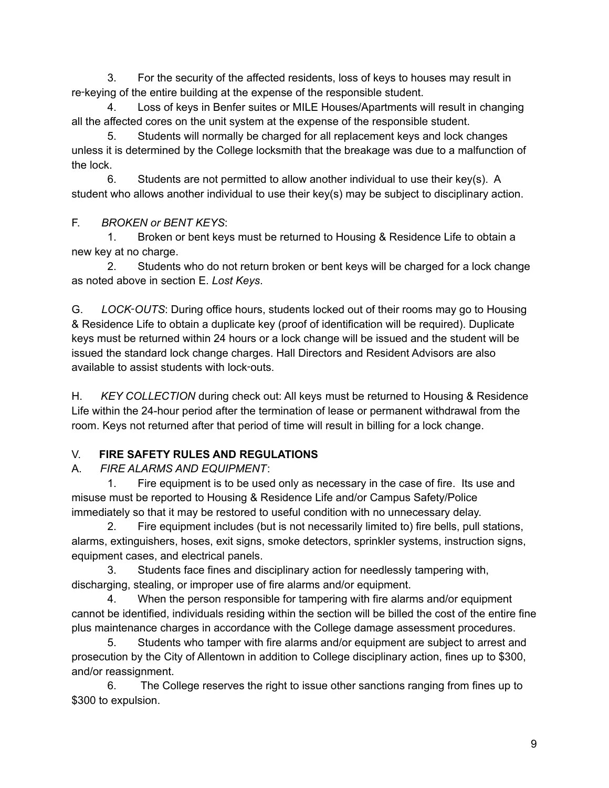3. For the security of the affected residents, loss of keys to houses may result in re-keying of the entire building at the expense of the responsible student.

4. Loss of keys in Benfer suites or MILE Houses/Apartments will result in changing all the affected cores on the unit system at the expense of the responsible student.

5. Students will normally be charged for all replacement keys and lock changes unless it is determined by the College locksmith that the breakage was due to a malfunction of the lock.

6. Students are not permitted to allow another individual to use their key(s). A student who allows another individual to use their key(s) may be subject to disciplinary action.

F. *BROKEN or BENT KEYS*:

1. Broken or bent keys must be returned to Housing & Residence Life to obtain a new key at no charge.

2. Students who do not return broken or bent keys will be charged for a lock change as noted above in section E. *Lost Keys*.

G. *LOCK*‑*OUTS*: During office hours, students locked out of their rooms may go to Housing & Residence Life to obtain a duplicate key (proof of identification will be required). Duplicate keys must be returned within 24 hours or a lock change will be issued and the student will be issued the standard lock change charges. Hall Directors and Resident Advisors are also available to assist students with lock‑outs.

H. *KEY COLLECTION* during check out: All keys must be returned to Housing & Residence Life within the 24-hour period after the termination of lease or permanent withdrawal from the room. Keys not returned after that period of time will result in billing for a lock change.

# V. **FIRE SAFETY RULES AND REGULATIONS**

### A. *FIRE ALARMS AND EQUIPMENT*:

1. Fire equipment is to be used only as necessary in the case of fire. Its use and misuse must be reported to Housing & Residence Life and/or Campus Safety/Police immediately so that it may be restored to useful condition with no unnecessary delay.

2. Fire equipment includes (but is not necessarily limited to) fire bells, pull stations, alarms, extinguishers, hoses, exit signs, smoke detectors, sprinkler systems, instruction signs, equipment cases, and electrical panels.

3. Students face fines and disciplinary action for needlessly tampering with, discharging, stealing, or improper use of fire alarms and/or equipment.

4. When the person responsible for tampering with fire alarms and/or equipment cannot be identified, individuals residing within the section will be billed the cost of the entire fine plus maintenance charges in accordance with the College damage assessment procedures.

5. Students who tamper with fire alarms and/or equipment are subject to arrest and prosecution by the City of Allentown in addition to College disciplinary action, fines up to \$300, and/or reassignment.

6. The College reserves the right to issue other sanctions ranging from fines up to \$300 to expulsion.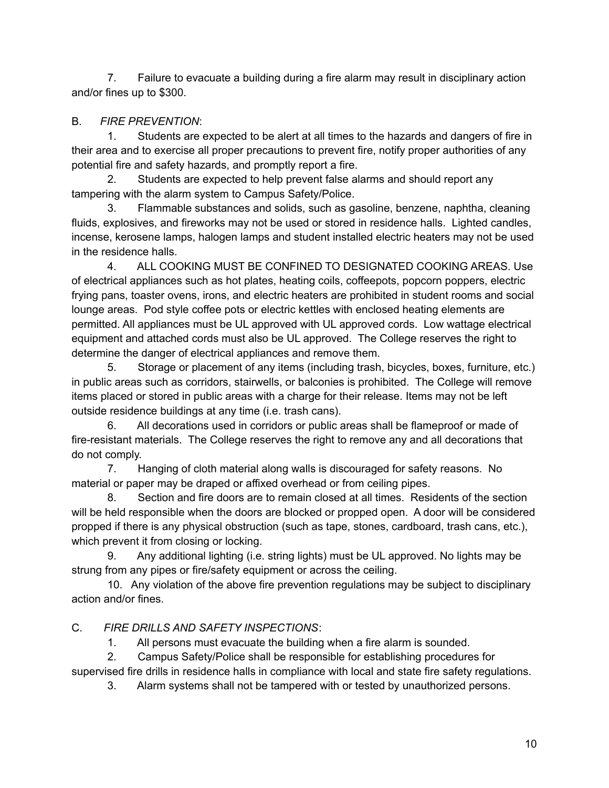7. Failure to evacuate a building during a fire alarm may result in disciplinary action and/or fines up to \$300.

### B. *FIRE PREVENTION*:

1. Students are expected to be alert at all times to the hazards and dangers of fire in their area and to exercise all proper precautions to prevent fire, notify proper authorities of any potential fire and safety hazards, and promptly report a fire.

2. Students are expected to help prevent false alarms and should report any tampering with the alarm system to Campus Safety/Police.

3. Flammable substances and solids, such as gasoline, benzene, naphtha, cleaning fluids, explosives, and fireworks may not be used or stored in residence halls. Lighted candles, incense, kerosene lamps, halogen lamps and student installed electric heaters may not be used in the residence halls.

4. ALL COOKING MUST BE CONFINED TO DESIGNATED COOKING AREAS. Use of electrical appliances such as hot plates, heating coils, coffeepots, popcorn poppers, electric frying pans, toaster ovens, irons, and electric heaters are prohibited in student rooms and social lounge areas. Pod style coffee pots or electric kettles with enclosed heating elements are permitted. All appliances must be UL approved with UL approved cords. Low wattage electrical equipment and attached cords must also be UL approved. The College reserves the right to determine the danger of electrical appliances and remove them.

5. Storage or placement of any items (including trash, bicycles, boxes, furniture, etc.) in public areas such as corridors, stairwells, or balconies is prohibited. The College will remove items placed or stored in public areas with a charge for their release. Items may not be left outside residence buildings at any time (i.e. trash cans).

6. All decorations used in corridors or public areas shall be flameproof or made of fire-resistant materials. The College reserves the right to remove any and all decorations that do not comply.

7. Hanging of cloth material along walls is discouraged for safety reasons. No material or paper may be draped or affixed overhead or from ceiling pipes.

8. Section and fire doors are to remain closed at all times. Residents of the section will be held responsible when the doors are blocked or propped open. A door will be considered propped if there is any physical obstruction (such as tape, stones, cardboard, trash cans, etc.), which prevent it from closing or locking.

9. Any additional lighting (i.e. string lights) must be UL approved. No lights may be strung from any pipes or fire/safety equipment or across the ceiling.

10. Any violation of the above fire prevention regulations may be subject to disciplinary action and/or fines.

### C. *FIRE DRILLS AND SAFETY INSPECTIONS*:

1. All persons must evacuate the building when a fire alarm is sounded.

2. Campus Safety/Police shall be responsible for establishing procedures for

supervised fire drills in residence halls in compliance with local and state fire safety regulations.

3. Alarm systems shall not be tampered with or tested by unauthorized persons.